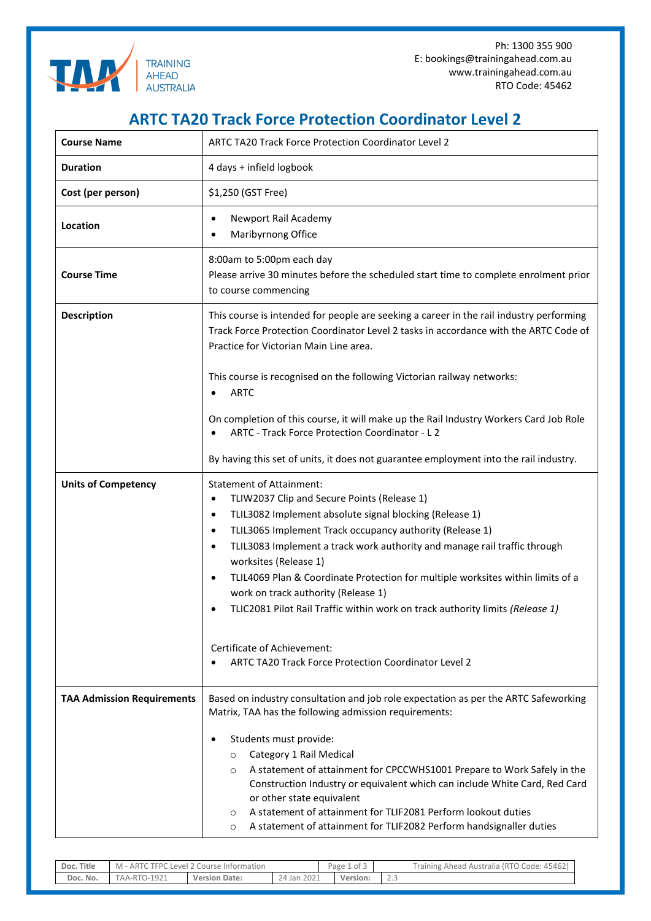

Ph: 1300 355 900 E: bookings@trainingahead.com.au www.trainingahead.com.au RTO Code: 45462

## **ARTC TA20 Track Force Protection Coordinator Level 2**

| <b>Course Name</b>                | ARTC TA20 Track Force Protection Coordinator Level 2                                                                                                                                                                                                                                                                                                                                                                                                                                                                                                                                                                                                                          |  |  |  |  |  |
|-----------------------------------|-------------------------------------------------------------------------------------------------------------------------------------------------------------------------------------------------------------------------------------------------------------------------------------------------------------------------------------------------------------------------------------------------------------------------------------------------------------------------------------------------------------------------------------------------------------------------------------------------------------------------------------------------------------------------------|--|--|--|--|--|
| <b>Duration</b>                   | 4 days + infield logbook                                                                                                                                                                                                                                                                                                                                                                                                                                                                                                                                                                                                                                                      |  |  |  |  |  |
| Cost (per person)                 | \$1,250 (GST Free)                                                                                                                                                                                                                                                                                                                                                                                                                                                                                                                                                                                                                                                            |  |  |  |  |  |
| Location                          | Newport Rail Academy<br>$\bullet$<br>Maribyrnong Office                                                                                                                                                                                                                                                                                                                                                                                                                                                                                                                                                                                                                       |  |  |  |  |  |
| <b>Course Time</b>                | 8:00am to 5:00pm each day<br>Please arrive 30 minutes before the scheduled start time to complete enrolment prior<br>to course commencing                                                                                                                                                                                                                                                                                                                                                                                                                                                                                                                                     |  |  |  |  |  |
| <b>Description</b>                | This course is intended for people are seeking a career in the rail industry performing<br>Track Force Protection Coordinator Level 2 tasks in accordance with the ARTC Code of<br>Practice for Victorian Main Line area.                                                                                                                                                                                                                                                                                                                                                                                                                                                     |  |  |  |  |  |
|                                   | This course is recognised on the following Victorian railway networks:<br><b>ARTC</b>                                                                                                                                                                                                                                                                                                                                                                                                                                                                                                                                                                                         |  |  |  |  |  |
|                                   | On completion of this course, it will make up the Rail Industry Workers Card Job Role<br>ARTC - Track Force Protection Coordinator - L 2                                                                                                                                                                                                                                                                                                                                                                                                                                                                                                                                      |  |  |  |  |  |
|                                   | By having this set of units, it does not guarantee employment into the rail industry.                                                                                                                                                                                                                                                                                                                                                                                                                                                                                                                                                                                         |  |  |  |  |  |
| <b>Units of Competency</b>        | <b>Statement of Attainment:</b><br>TLIW2037 Clip and Secure Points (Release 1)<br>٠<br>TLIL3082 Implement absolute signal blocking (Release 1)<br>$\bullet$<br>TLIL3065 Implement Track occupancy authority (Release 1)<br>$\bullet$<br>TLIL3083 Implement a track work authority and manage rail traffic through<br>$\bullet$<br>worksites (Release 1)<br>TLIL4069 Plan & Coordinate Protection for multiple worksites within limits of a<br>$\bullet$<br>work on track authority (Release 1)<br>TLIC2081 Pilot Rail Traffic within work on track authority limits (Release 1)<br>Certificate of Achievement:<br><b>ARTC TA20 Track Force Protection Coordinator Level 2</b> |  |  |  |  |  |
| <b>TAA Admission Requirements</b> | Based on industry consultation and job role expectation as per the ARTC Safeworking<br>Matrix, TAA has the following admission requirements:<br>Students must provide:<br>٠<br>Category 1 Rail Medical<br>$\circ$<br>A statement of attainment for CPCCWHS1001 Prepare to Work Safely in the<br>$\circ$<br>Construction Industry or equivalent which can include White Card, Red Card<br>or other state equivalent<br>A statement of attainment for TLIF2081 Perform lookout duties<br>$\circ$<br>A statement of attainment for TLIF2082 Perform handsignaller duties<br>O                                                                                                    |  |  |  |  |  |

| Doc. Title | Level 2 Course Information<br>TEPC I<br>M - ARTC |                      |                | $\sim$<br>c to '<br>Page i | Ahead Australia (RTO Code: 45462)<br>Training $\overline{r}$ |
|------------|--------------------------------------------------|----------------------|----------------|----------------------------|--------------------------------------------------------------|
| Doc. No.   | $A^A - R^T$<br>$7 - 1921$                        | <b>Version Date:</b> | 2021<br>24 Jan | Version:                   | $\sim$ $\sim$<br>ں ، ے                                       |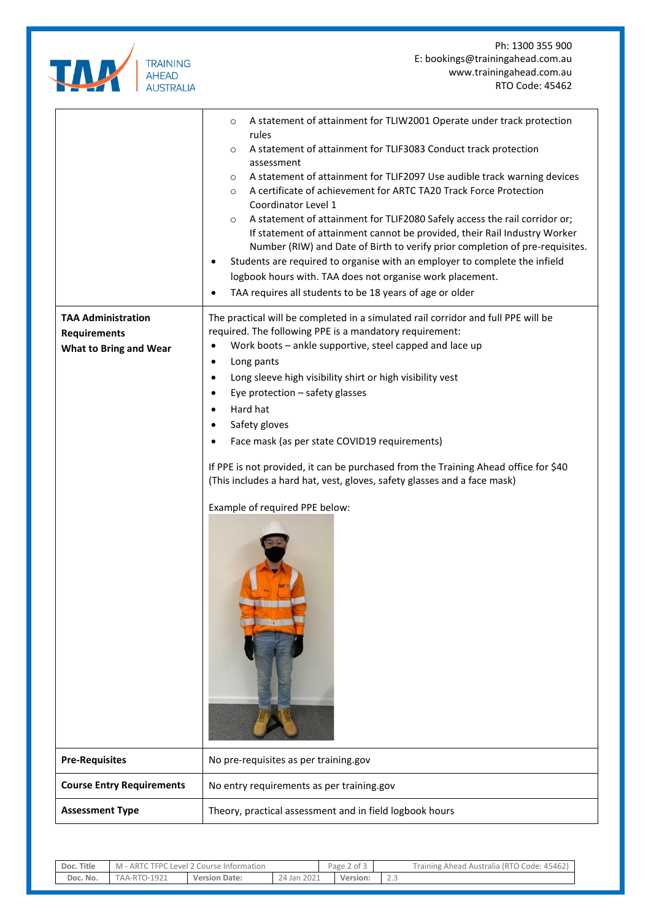| <b>TRAINING</b><br><b>AHEAD</b><br><b>AUSTRALIA</b> |
|-----------------------------------------------------|

Ph: 1300 355 900 E: bookings@trainingahead.com.au www.trainingahead.com.au RTO Code: 45462

|                                                                                   | A statement of attainment for TLIW2001 Operate under track protection<br>$\circ$<br>rules<br>A statement of attainment for TLIF3083 Conduct track protection<br>$\circ$<br>assessment<br>A statement of attainment for TLIF2097 Use audible track warning devices<br>$\circ$<br>A certificate of achievement for ARTC TA20 Track Force Protection<br>$\circ$<br>Coordinator Level 1<br>A statement of attainment for TLIF2080 Safely access the rail corridor or;<br>$\circ$<br>If statement of attainment cannot be provided, their Rail Industry Worker<br>Number (RIW) and Date of Birth to verify prior completion of pre-requisites.<br>Students are required to organise with an employer to complete the infield<br>٠<br>logbook hours with. TAA does not organise work placement.<br>TAA requires all students to be 18 years of age or older |  |
|-----------------------------------------------------------------------------------|-------------------------------------------------------------------------------------------------------------------------------------------------------------------------------------------------------------------------------------------------------------------------------------------------------------------------------------------------------------------------------------------------------------------------------------------------------------------------------------------------------------------------------------------------------------------------------------------------------------------------------------------------------------------------------------------------------------------------------------------------------------------------------------------------------------------------------------------------------|--|
| <b>TAA Administration</b><br><b>Requirements</b><br><b>What to Bring and Wear</b> | The practical will be completed in a simulated rail corridor and full PPE will be<br>required. The following PPE is a mandatory requirement:<br>Work boots - ankle supportive, steel capped and lace up<br>$\bullet$<br>Long pants<br>٠<br>Long sleeve high visibility shirt or high visibility vest<br>٠<br>Eye protection - safety glasses<br>٠<br>Hard hat<br>Safety gloves<br>Face mask (as per state COVID19 requirements)<br>If PPE is not provided, it can be purchased from the Training Ahead office for \$40<br>(This includes a hard hat, vest, gloves, safety glasses and a face mask)<br>Example of required PPE below:                                                                                                                                                                                                                  |  |
| <b>Pre-Requisites</b>                                                             | No pre-requisites as per training.gov                                                                                                                                                                                                                                                                                                                                                                                                                                                                                                                                                                                                                                                                                                                                                                                                                 |  |
| <b>Course Entry Requirements</b>                                                  | No entry requirements as per training.gov                                                                                                                                                                                                                                                                                                                                                                                                                                                                                                                                                                                                                                                                                                                                                                                                             |  |
| <b>Assessment Type</b>                                                            | Theory, practical assessment and in field logbook hours                                                                                                                                                                                                                                                                                                                                                                                                                                                                                                                                                                                                                                                                                                                                                                                               |  |

| Doc. Title | TFPC<br>ARTL<br>Level<br>. Course Information<br>M |                      | ` of 3<br>Page<br><u>_</u> |  |          | Code: 45462<br>(RTO<br>raining.<br>Australia<br>† Ahead ∧ |  |
|------------|----------------------------------------------------|----------------------|----------------------------|--|----------|-----------------------------------------------------------|--|
| Doc. No.   | $7 - 1921$<br>$IAA-RTC$                            | <b>Version Date:</b> | 2021<br>24 Jan.            |  | Version: | $\sim$<br>ر . د<br>___                                    |  |